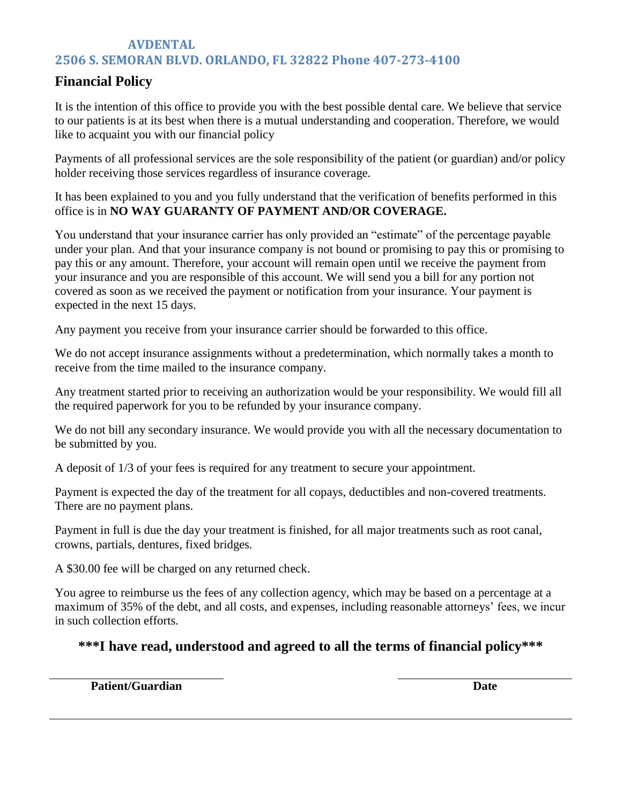## **AVDENTAL 2506 S. SEMORAN BLVD. ORLANDO, FL 32822 Phone 407-273-4100**

# **Financial Policy**

It is the intention of this office to provide you with the best possible dental care. We believe that service to our patients is at its best when there is a mutual understanding and cooperation. Therefore, we would like to acquaint you with our financial policy

Payments of all professional services are the sole responsibility of the patient (or guardian) and/or policy holder receiving those services regardless of insurance coverage.

It has been explained to you and you fully understand that the verification of benefits performed in this office is in **NO WAY GUARANTY OF PAYMENT AND/OR COVERAGE.**

You understand that your insurance carrier has only provided an "estimate" of the percentage payable under your plan. And that your insurance company is not bound or promising to pay this or promising to pay this or any amount. Therefore, your account will remain open until we receive the payment from your insurance and you are responsible of this account. We will send you a bill for any portion not covered as soon as we received the payment or notification from your insurance. Your payment is expected in the next 15 days.

Any payment you receive from your insurance carrier should be forwarded to this office.

We do not accept insurance assignments without a predetermination, which normally takes a month to receive from the time mailed to the insurance company.

Any treatment started prior to receiving an authorization would be your responsibility. We would fill all the required paperwork for you to be refunded by your insurance company.

We do not bill any secondary insurance. We would provide you with all the necessary documentation to be submitted by you.

A deposit of 1/3 of your fees is required for any treatment to secure your appointment.

Payment is expected the day of the treatment for all copays, deductibles and non-covered treatments. There are no payment plans.

Payment in full is due the day your treatment is finished, for all major treatments such as root canal, crowns, partials, dentures, fixed bridges.

A \$30.00 fee will be charged on any returned check.

You agree to reimburse us the fees of any collection agency, which may be based on a percentage at a maximum of 35% of the debt, and all costs, and expenses, including reasonable attorneys' fees, we incur in such collection efforts.

# **\*\*\*I have read, understood and agreed to all the terms of financial policy\*\*\***

**Patient/Guardian**

**Date**